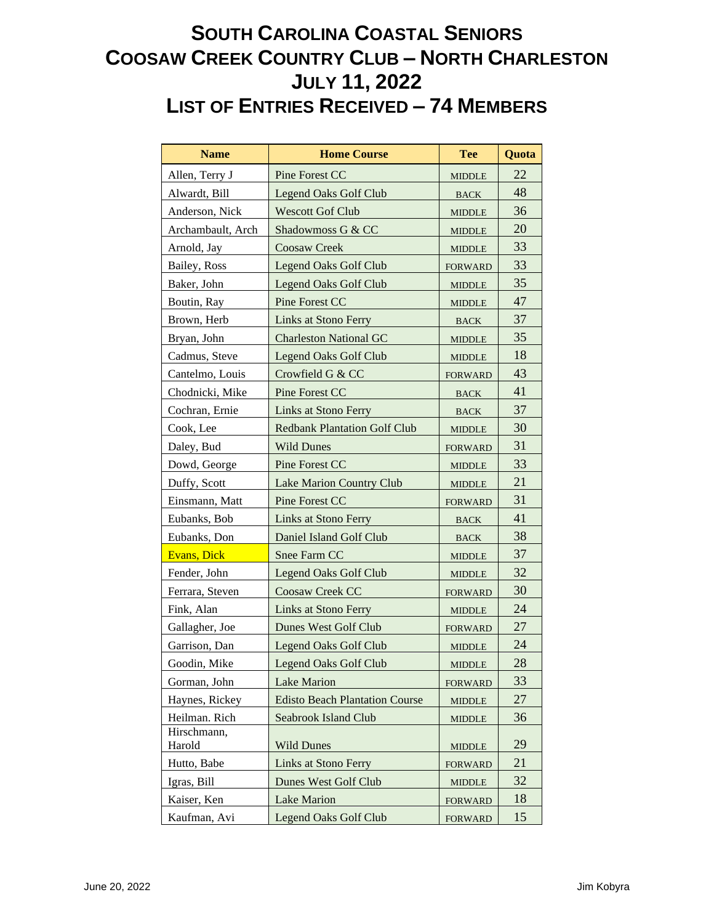## **SOUTH CAROLINA COASTAL SENIORS COOSAW CREEK COUNTRY CLUB – NORTH CHARLESTON JULY 11, 2022 LIST OF ENTRIES RECEIVED – 74 MEMBERS**

| <b>Name</b>           | <b>Home Course</b>                    | <b>Tee</b>     | Quota |
|-----------------------|---------------------------------------|----------------|-------|
| Allen, Terry J        | Pine Forest CC                        | <b>MIDDLE</b>  | 22    |
| Alwardt, Bill         | <b>Legend Oaks Golf Club</b>          | <b>BACK</b>    | 48    |
| Anderson, Nick        | <b>Wescott Gof Club</b>               | <b>MIDDLE</b>  | 36    |
| Archambault, Arch     | Shadowmoss G & CC                     | <b>MIDDLE</b>  | 20    |
| Arnold, Jay           | <b>Coosaw Creek</b>                   | <b>MIDDLE</b>  | 33    |
| Bailey, Ross          | <b>Legend Oaks Golf Club</b>          | <b>FORWARD</b> | 33    |
| Baker, John           | <b>Legend Oaks Golf Club</b>          | <b>MIDDLE</b>  | 35    |
| Boutin, Ray           | Pine Forest CC                        | <b>MIDDLE</b>  | 47    |
| Brown, Herb           | <b>Links at Stono Ferry</b>           | <b>BACK</b>    | 37    |
| Bryan, John           | <b>Charleston National GC</b>         | <b>MIDDLE</b>  | 35    |
| Cadmus, Steve         | <b>Legend Oaks Golf Club</b>          | <b>MIDDLE</b>  | 18    |
| Cantelmo, Louis       | Crowfield G & CC                      | <b>FORWARD</b> | 43    |
| Chodnicki, Mike       | Pine Forest CC                        | <b>BACK</b>    | 41    |
| Cochran, Ernie        | <b>Links at Stono Ferry</b>           | <b>BACK</b>    | 37    |
| Cook, Lee             | <b>Redbank Plantation Golf Club</b>   | <b>MIDDLE</b>  | 30    |
| Daley, Bud            | <b>Wild Dunes</b>                     | <b>FORWARD</b> | 31    |
| Dowd, George          | Pine Forest CC                        | <b>MIDDLE</b>  | 33    |
| Duffy, Scott          | <b>Lake Marion Country Club</b>       | <b>MIDDLE</b>  | 21    |
| Einsmann, Matt        | Pine Forest CC                        | <b>FORWARD</b> | 31    |
| Eubanks, Bob          | Links at Stono Ferry                  | <b>BACK</b>    | 41    |
| Eubanks, Don          | Daniel Island Golf Club               | <b>BACK</b>    | 38    |
| <b>Evans</b> , Dick   | Snee Farm CC                          | <b>MIDDLE</b>  | 37    |
| Fender, John          | <b>Legend Oaks Golf Club</b>          | <b>MIDDLE</b>  | 32    |
| Ferrara, Steven       | Coosaw Creek CC                       | <b>FORWARD</b> | 30    |
| Fink, Alan            | <b>Links at Stono Ferry</b>           | <b>MIDDLE</b>  | 24    |
| Gallagher, Joe        | Dunes West Golf Club                  | <b>FORWARD</b> | 27    |
| Garrison, Dan         | Legend Oaks Golf Club                 | <b>MIDDLE</b>  | 24    |
| Goodin, Mike          | <b>Legend Oaks Golf Club</b>          | <b>MIDDLE</b>  | 28    |
| Gorman, John          | Lake Marion                           | <b>FORWARD</b> | 33    |
| Haynes, Rickey        | <b>Edisto Beach Plantation Course</b> | <b>MIDDLE</b>  | 27    |
| Heilman. Rich         | Seabrook Island Club                  | <b>MIDDLE</b>  | 36    |
| Hirschmann,<br>Harold | <b>Wild Dunes</b>                     | <b>MIDDLE</b>  | 29    |
| Hutto, Babe           | <b>Links at Stono Ferry</b>           | <b>FORWARD</b> | 21    |
| Igras, Bill           | Dunes West Golf Club                  | <b>MIDDLE</b>  | 32    |
| Kaiser, Ken           | <b>Lake Marion</b>                    | <b>FORWARD</b> | 18    |
| Kaufman, Avi          | <b>Legend Oaks Golf Club</b>          | <b>FORWARD</b> | 15    |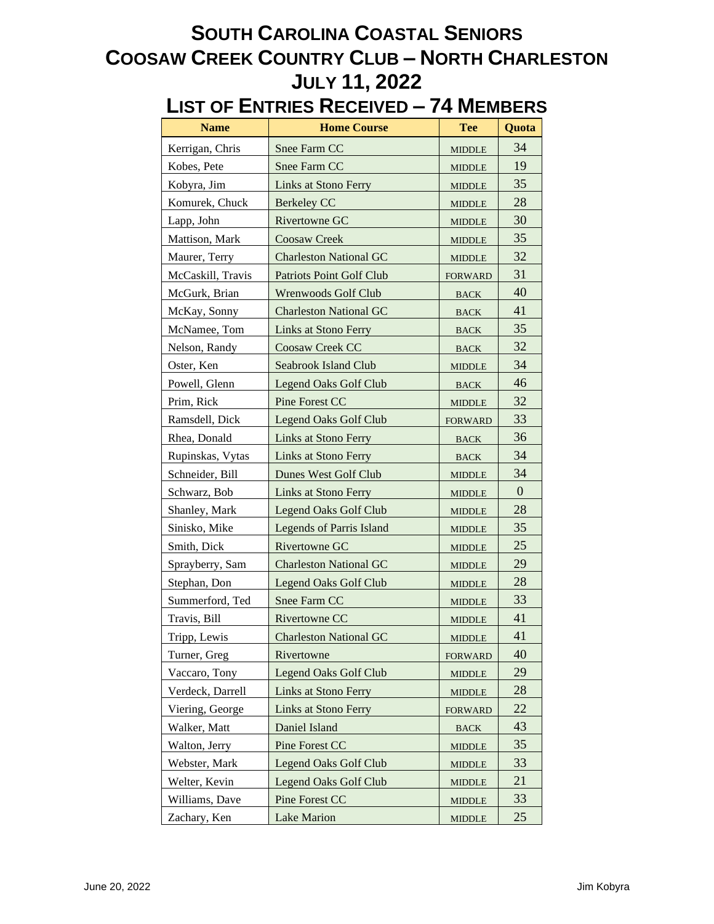## **SOUTH CAROLINA COASTAL SENIORS COOSAW CREEK COUNTRY CLUB – NORTH CHARLESTON JULY 11, 2022**

## **LIST OF ENTRIES RECEIVED – 74 MEMBERS**

| <b>Name</b>       | <b>Home Course</b>              | <b>Tee</b>                      | Quota            |
|-------------------|---------------------------------|---------------------------------|------------------|
| Kerrigan, Chris   | Snee Farm CC                    | <b>MIDDLE</b>                   | 34               |
| Kobes, Pete       | Snee Farm CC                    | <b>MIDDLE</b>                   | 19               |
| Kobyra, Jim       | <b>Links at Stono Ferry</b>     | <b>MIDDLE</b>                   | 35               |
| Komurek, Chuck    | <b>Berkeley CC</b>              | <b>MIDDLE</b>                   | 28               |
| Lapp, John        | Rivertowne GC                   | <b>MIDDLE</b>                   | 30               |
| Mattison, Mark    | Coosaw Creek                    | <b>MIDDLE</b>                   | 35               |
| Maurer, Terry     | <b>Charleston National GC</b>   | <b>MIDDLE</b>                   | 32               |
| McCaskill, Travis | <b>Patriots Point Golf Club</b> | <b>FORWARD</b>                  | 31               |
| McGurk, Brian     | Wrenwoods Golf Club             | <b>BACK</b>                     | 40               |
| McKay, Sonny      | <b>Charleston National GC</b>   | <b>BACK</b>                     | 41               |
| McNamee, Tom      | <b>Links at Stono Ferry</b>     | $_{\mbox{\footnotesize{BACK}}}$ | 35               |
| Nelson, Randy     | Coosaw Creek CC                 | <b>BACK</b>                     | 32               |
| Oster, Ken        | Seabrook Island Club            | <b>MIDDLE</b>                   | 34               |
| Powell, Glenn     | <b>Legend Oaks Golf Club</b>    | <b>BACK</b>                     | 46               |
| Prim, Rick        | Pine Forest CC                  | <b>MIDDLE</b>                   | 32               |
| Ramsdell, Dick    | <b>Legend Oaks Golf Club</b>    | <b>FORWARD</b>                  | 33               |
| Rhea, Donald      | Links at Stono Ferry            | <b>BACK</b>                     | 36               |
| Rupinskas, Vytas  | Links at Stono Ferry            | <b>BACK</b>                     | 34               |
| Schneider, Bill   | <b>Dunes West Golf Club</b>     | <b>MIDDLE</b>                   | 34               |
| Schwarz, Bob      | Links at Stono Ferry            | <b>MIDDLE</b>                   | $\boldsymbol{0}$ |
| Shanley, Mark     | <b>Legend Oaks Golf Club</b>    | <b>MIDDLE</b>                   | 28               |
| Sinisko, Mike     | <b>Legends of Parris Island</b> | <b>MIDDLE</b>                   | 35               |
| Smith, Dick       | Rivertowne GC                   | <b>MIDDLE</b>                   | 25               |
| Sprayberry, Sam   | <b>Charleston National GC</b>   | <b>MIDDLE</b>                   | 29               |
| Stephan, Don      | <b>Legend Oaks Golf Club</b>    | <b>MIDDLE</b>                   | 28               |
| Summerford, Ted   | Snee Farm CC                    | <b>MIDDLE</b>                   | 33               |
| Travis, Bill      | Rivertowne CC                   | <b>MIDDLE</b>                   | 41               |
| Tripp, Lewis      | <b>Charleston National GC</b>   | <b>MIDDLE</b>                   | 41               |
| Turner, Greg      | Rivertowne                      | <b>FORWARD</b>                  | 40               |
| Vaccaro, Tony     | Legend Oaks Golf Club           | <b>MIDDLE</b>                   | 29               |
| Verdeck, Darrell  | Links at Stono Ferry            | <b>MIDDLE</b>                   | 28               |
| Viering, George   | <b>Links at Stono Ferry</b>     | <b>FORWARD</b>                  | 22               |
| Walker, Matt      | Daniel Island                   | <b>BACK</b>                     | 43               |
| Walton, Jerry     | Pine Forest CC                  | <b>MIDDLE</b>                   | 35               |
| Webster, Mark     | <b>Legend Oaks Golf Club</b>    | <b>MIDDLE</b>                   | 33               |
| Welter, Kevin     | <b>Legend Oaks Golf Club</b>    | <b>MIDDLE</b>                   | 21               |
| Williams, Dave    | Pine Forest CC                  | <b>MIDDLE</b>                   | 33               |
| Zachary, Ken      | Lake Marion                     | <b>MIDDLE</b>                   | 25               |